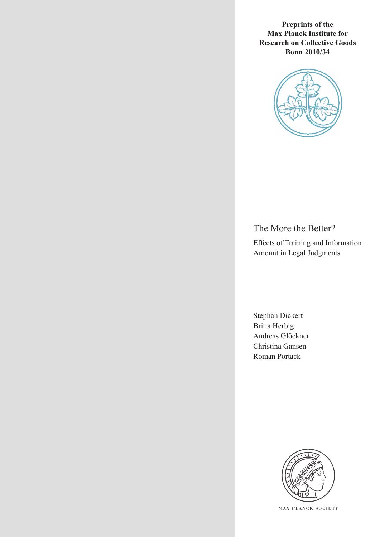**Preprints of the Max Planck Institute for Research on Collective Goods Bonn 2010/34**



The More the Better?

Effects of Training and Information Amount in Legal Judgments

Stephan Dickert Britta Herbig Andreas Glöckner Christina Gansen Roman Portack



**M AX P L A N C K S O C I E T Y**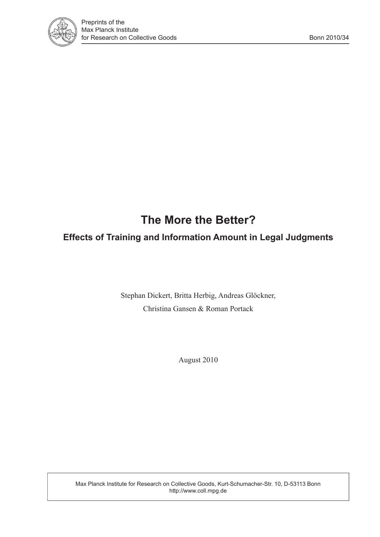

# **The More the Better?**

# **Effects of Training and Information Amount in Legal Judgments**

Stephan Dickert, Britta Herbig, Andreas Glöckner, Christina Gansen & Roman Portack

August 2010

Max Planck Institute for Research on Collective Goods, Kurt-Schumacher-Str. 10, D-53113 Bonn http://www.coll.mpg.de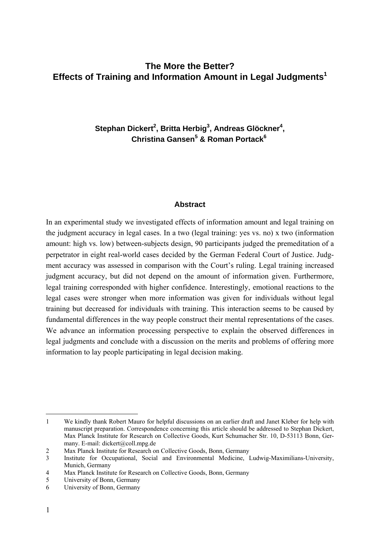# **The More the Better? Effects of Training and Information Amount in Legal Judgments1**

Stephan Dickert<sup>2</sup>, Britta Herbig<sup>3</sup>, Andreas Glöckner<sup>4</sup>, **Christina Gansen<sup>5</sup> & Roman Portack<sup>6</sup>**

#### **Abstract**

In an experimental study we investigated effects of information amount and legal training on the judgment accuracy in legal cases. In a two (legal training: yes vs. no) x two (information amount: high vs. low) between-subjects design, 90 participants judged the premeditation of a perpetrator in eight real-world cases decided by the German Federal Court of Justice. Judgment accuracy was assessed in comparison with the Court's ruling. Legal training increased judgment accuracy, but did not depend on the amount of information given. Furthermore, legal training corresponded with higher confidence. Interestingly, emotional reactions to the legal cases were stronger when more information was given for individuals without legal training but decreased for individuals with training. This interaction seems to be caused by fundamental differences in the way people construct their mental representations of the cases. We advance an information processing perspective to explain the observed differences in legal judgments and conclude with a discussion on the merits and problems of offering more information to lay people participating in legal decision making.

-

<sup>1</sup> We kindly thank Robert Mauro for helpful discussions on an earlier draft and Janet Kleber for help with manuscript preparation. Correspondence concerning this article should be addressed to Stephan Dickert, Max Planck Institute for Research on Collective Goods, Kurt Schumacher Str. 10, D-53113 Bonn, Germany. E-mail: dickert@coll.mpg.de

<sup>2</sup> Max Planck Institute for Research on Collective Goods, Bonn, Germany

<sup>3</sup> Institute for Occupational, Social and Environmental Medicine, Ludwig-Maximilians-University, Munich, Germany

<sup>4</sup> Max Planck Institute for Research on Collective Goods, Bonn, Germany

<sup>5</sup> University of Bonn, Germany

<sup>6</sup> University of Bonn, Germany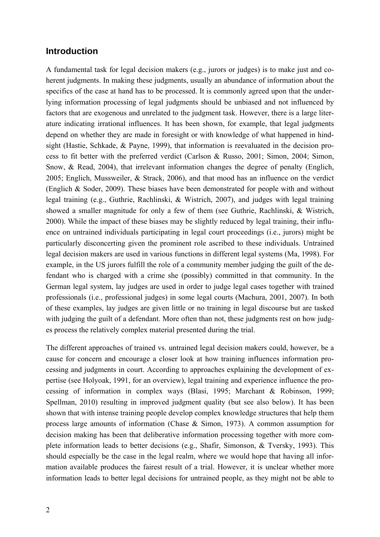# **Introduction**

A fundamental task for legal decision makers (e.g., jurors or judges) is to make just and coherent judgments. In making these judgments, usually an abundance of information about the specifics of the case at hand has to be processed. It is commonly agreed upon that the underlying information processing of legal judgments should be unbiased and not influenced by factors that are exogenous and unrelated to the judgment task. However, there is a large literature indicating irrational influences. It has been shown, for example, that legal judgments depend on whether they are made in foresight or with knowledge of what happened in hindsight (Hastie, Schkade, & Payne, 1999), that information is reevaluated in the decision process to fit better with the preferred verdict (Carlson & Russo, 2001; Simon, 2004; Simon, Snow, & Read, 2004), that irrelevant information changes the degree of penalty (Englich, 2005; Englich, Mussweiler, & Strack, 2006), and that mood has an influence on the verdict (Englich & Soder, 2009). These biases have been demonstrated for people with and without legal training (e.g., Guthrie, Rachlinski, & Wistrich, 2007), and judges with legal training showed a smaller magnitude for only a few of them (see Guthrie, Rachlinski, & Wistrich, 2000). While the impact of these biases may be slightly reduced by legal training, their influence on untrained individuals participating in legal court proceedings (i.e., jurors) might be particularly disconcerting given the prominent role ascribed to these individuals. Untrained legal decision makers are used in various functions in different legal systems (Ma, 1998). For example, in the US jurors fulfill the role of a community member judging the guilt of the defendant who is charged with a crime she (possibly) committed in that community. In the German legal system, lay judges are used in order to judge legal cases together with trained professionals (i.e., professional judges) in some legal courts (Machura, 2001, 2007). In both of these examples, lay judges are given little or no training in legal discourse but are tasked with judging the guilt of a defendant. More often than not, these judgments rest on how judges process the relatively complex material presented during the trial.

The different approaches of trained vs. untrained legal decision makers could, however, be a cause for concern and encourage a closer look at how training influences information processing and judgments in court. According to approaches explaining the development of expertise (see Holyoak, 1991, for an overview), legal training and experience influence the processing of information in complex ways (Blasi, 1995; Marchant & Robinson, 1999; Spellman, 2010) resulting in improved judgment quality (but see also below). It has been shown that with intense training people develop complex knowledge structures that help them process large amounts of information (Chase & Simon, 1973). A common assumption for decision making has been that deliberative information processing together with more complete information leads to better decisions (e.g., Shafir, Simonson, & Tversky, 1993). This should especially be the case in the legal realm, where we would hope that having all information available produces the fairest result of a trial. However, it is unclear whether more information leads to better legal decisions for untrained people, as they might not be able to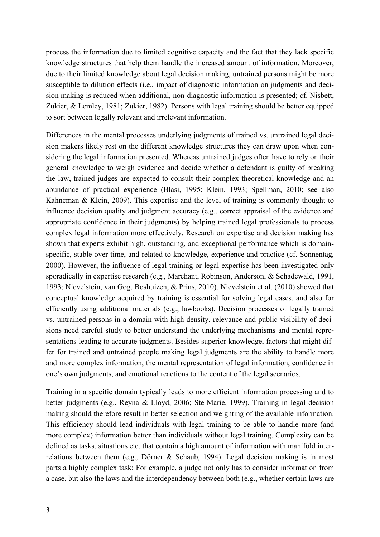process the information due to limited cognitive capacity and the fact that they lack specific knowledge structures that help them handle the increased amount of information. Moreover, due to their limited knowledge about legal decision making, untrained persons might be more susceptible to dilution effects (i.e., impact of diagnostic information on judgments and decision making is reduced when additional, non-diagnostic information is presented; cf. Nisbett, Zukier, & Lemley, 1981; Zukier, 1982). Persons with legal training should be better equipped to sort between legally relevant and irrelevant information.

Differences in the mental processes underlying judgments of trained vs. untrained legal decision makers likely rest on the different knowledge structures they can draw upon when considering the legal information presented. Whereas untrained judges often have to rely on their general knowledge to weigh evidence and decide whether a defendant is guilty of breaking the law, trained judges are expected to consult their complex theoretical knowledge and an abundance of practical experience (Blasi, 1995; Klein, 1993; Spellman, 2010; see also Kahneman & Klein, 2009). This expertise and the level of training is commonly thought to influence decision quality and judgment accuracy (e.g., correct appraisal of the evidence and appropriate confidence in their judgments) by helping trained legal professionals to process complex legal information more effectively. Research on expertise and decision making has shown that experts exhibit high, outstanding, and exceptional performance which is domainspecific, stable over time, and related to knowledge, experience and practice (cf. Sonnentag, 2000). However, the influence of legal training or legal expertise has been investigated only sporadically in expertise research (e.g., Marchant, Robinson, Anderson, & Schadewald, 1991, 1993; Nievelstein, van Gog, Boshuizen, & Prins, 2010). Nievelstein et al. (2010) showed that conceptual knowledge acquired by training is essential for solving legal cases, and also for efficiently using additional materials (e.g., lawbooks). Decision processes of legally trained vs. untrained persons in a domain with high density, relevance and public visibility of decisions need careful study to better understand the underlying mechanisms and mental representations leading to accurate judgments. Besides superior knowledge, factors that might differ for trained and untrained people making legal judgments are the ability to handle more and more complex information, the mental representation of legal information, confidence in one's own judgments, and emotional reactions to the content of the legal scenarios.

Training in a specific domain typically leads to more efficient information processing and to better judgments (e.g., Reyna & Lloyd, 2006; Ste-Marie, 1999). Training in legal decision making should therefore result in better selection and weighting of the available information. This efficiency should lead individuals with legal training to be able to handle more (and more complex) information better than individuals without legal training. Complexity can be defined as tasks, situations etc. that contain a high amount of information with manifold interrelations between them (e.g., Dörner & Schaub, 1994). Legal decision making is in most parts a highly complex task: For example, a judge not only has to consider information from a case, but also the laws and the interdependency between both (e.g., whether certain laws are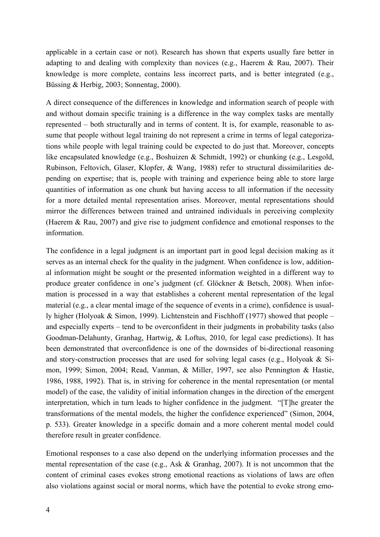applicable in a certain case or not). Research has shown that experts usually fare better in adapting to and dealing with complexity than novices (e.g., Haerem & Rau, 2007). Their knowledge is more complete, contains less incorrect parts, and is better integrated (e.g., Büssing & Herbig, 2003; Sonnentag, 2000).

A direct consequence of the differences in knowledge and information search of people with and without domain specific training is a difference in the way complex tasks are mentally represented – both structurally and in terms of content. It is, for example, reasonable to assume that people without legal training do not represent a crime in terms of legal categorizations while people with legal training could be expected to do just that. Moreover, concepts like encapsulated knowledge (e.g., Boshuizen & Schmidt, 1992) or chunking (e.g., Lesgold, Rubinson, Feltovich, Glaser, Klopfer, & Wang, 1988) refer to structural dissimilarities depending on expertise; that is, people with training and experience being able to store large quantities of information as one chunk but having access to all information if the necessity for a more detailed mental representation arises. Moreover, mental representations should mirror the differences between trained and untrained individuals in perceiving complexity (Haerem & Rau, 2007) and give rise to judgment confidence and emotional responses to the information.

The confidence in a legal judgment is an important part in good legal decision making as it serves as an internal check for the quality in the judgment. When confidence is low, additional information might be sought or the presented information weighted in a different way to produce greater confidence in one's judgment (cf. Glöckner & Betsch, 2008). When information is processed in a way that establishes a coherent mental representation of the legal material (e.g., a clear mental image of the sequence of events in a crime), confidence is usually higher (Holyoak & Simon, 1999). Lichtenstein and Fischhoff (1977) showed that people – and especially experts – tend to be overconfident in their judgments in probability tasks (also Goodman-Delahunty, Granhag, Hartwig, & Loftus, 2010, for legal case predictions). It has been demonstrated that overconfidence is one of the downsides of bi-directional reasoning and story-construction processes that are used for solving legal cases (e.g., Holyoak & Simon, 1999; Simon, 2004; Read, Vanman, & Miller, 1997, see also Pennington & Hastie, 1986, 1988, 1992). That is, in striving for coherence in the mental representation (or mental model) of the case, the validity of initial information changes in the direction of the emergent interpretation, which in turn leads to higher confidence in the judgment. "[T]he greater the transformations of the mental models, the higher the confidence experienced" (Simon, 2004, p. 533). Greater knowledge in a specific domain and a more coherent mental model could therefore result in greater confidence.

Emotional responses to a case also depend on the underlying information processes and the mental representation of the case (e.g., Ask & Granhag, 2007). It is not uncommon that the content of criminal cases evokes strong emotional reactions as violations of laws are often also violations against social or moral norms, which have the potential to evoke strong emo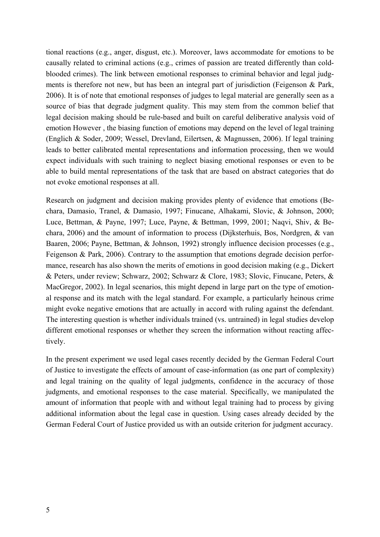tional reactions (e.g., anger, disgust, etc.). Moreover, laws accommodate for emotions to be causally related to criminal actions (e.g., crimes of passion are treated differently than coldblooded crimes). The link between emotional responses to criminal behavior and legal judgments is therefore not new, but has been an integral part of jurisdiction (Feigenson & Park, 2006). It is of note that emotional responses of judges to legal material are generally seen as a source of bias that degrade judgment quality. This may stem from the common belief that legal decision making should be rule-based and built on careful deliberative analysis void of emotion However , the biasing function of emotions may depend on the level of legal training (Englich & Soder, 2009; Wessel, Drevland, Eilertsen, & Magnussen, 2006). If legal training leads to better calibrated mental representations and information processing, then we would expect individuals with such training to neglect biasing emotional responses or even to be able to build mental representations of the task that are based on abstract categories that do not evoke emotional responses at all.

Research on judgment and decision making provides plenty of evidence that emotions (Bechara, Damasio, Tranel, & Damasio, 1997; Finucane, Alhakami, Slovic, & Johnson, 2000; Luce, Bettman, & Payne, 1997; Luce, Payne, & Bettman, 1999, 2001; Naqvi, Shiv, & Bechara, 2006) and the amount of information to process (Dijksterhuis, Bos, Nordgren, & van Baaren, 2006; Payne, Bettman, & Johnson, 1992) strongly influence decision processes (e.g., Feigenson & Park, 2006). Contrary to the assumption that emotions degrade decision performance, research has also shown the merits of emotions in good decision making (e.g., Dickert & Peters, under review; Schwarz, 2002; Schwarz & Clore, 1983; Slovic, Finucane, Peters, & MacGregor, 2002). In legal scenarios, this might depend in large part on the type of emotional response and its match with the legal standard. For example, a particularly heinous crime might evoke negative emotions that are actually in accord with ruling against the defendant. The interesting question is whether individuals trained (vs. untrained) in legal studies develop different emotional responses or whether they screen the information without reacting affectively.

In the present experiment we used legal cases recently decided by the German Federal Court of Justice to investigate the effects of amount of case-information (as one part of complexity) and legal training on the quality of legal judgments, confidence in the accuracy of those judgments, and emotional responses to the case material. Specifically, we manipulated the amount of information that people with and without legal training had to process by giving additional information about the legal case in question. Using cases already decided by the German Federal Court of Justice provided us with an outside criterion for judgment accuracy.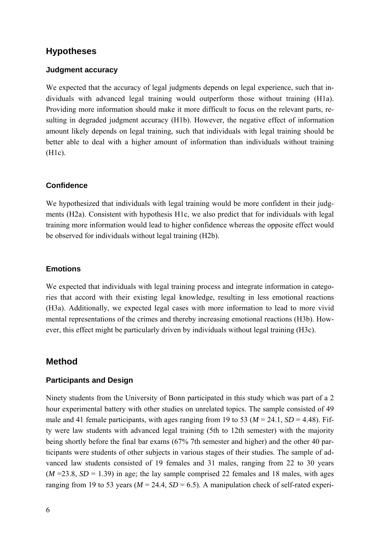# **Hypotheses**

#### **Judgment accuracy**

We expected that the accuracy of legal judgments depends on legal experience, such that individuals with advanced legal training would outperform those without training (H1a). Providing more information should make it more difficult to focus on the relevant parts, resulting in degraded judgment accuracy (H1b). However, the negative effect of information amount likely depends on legal training, such that individuals with legal training should be better able to deal with a higher amount of information than individuals without training (H1c).

#### **Confidence**

We hypothesized that individuals with legal training would be more confident in their judgments (H2a). Consistent with hypothesis H1c, we also predict that for individuals with legal training more information would lead to higher confidence whereas the opposite effect would be observed for individuals without legal training (H2b).

#### **Emotions**

We expected that individuals with legal training process and integrate information in categories that accord with their existing legal knowledge, resulting in less emotional reactions (H3a). Additionally, we expected legal cases with more information to lead to more vivid mental representations of the crimes and thereby increasing emotional reactions (H3b). However, this effect might be particularly driven by individuals without legal training (H3c).

# **Method**

#### **Participants and Design**

Ninety students from the University of Bonn participated in this study which was part of a 2 hour experimental battery with other studies on unrelated topics. The sample consisted of 49 male and 41 female participants, with ages ranging from 19 to 53 ( $M = 24.1$ ,  $SD = 4.48$ ). Fifty were law students with advanced legal training (5th to 12th semester) with the majority being shortly before the final bar exams (67% 7th semester and higher) and the other 40 participants were students of other subjects in various stages of their studies. The sample of advanced law students consisted of 19 females and 31 males, ranging from 22 to 30 years  $(M = 23.8, SD = 1.39)$  in age; the lay sample comprised 22 females and 18 males, with ages ranging from 19 to 53 years ( $M = 24.4$ ,  $SD = 6.5$ ). A manipulation check of self-rated experi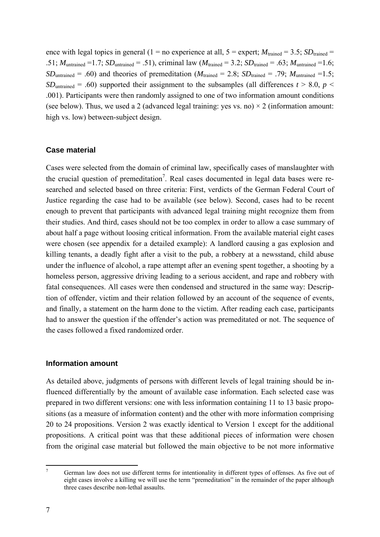ence with legal topics in general (1 = no experience at all, 5 = expert;  $M_{\text{trained}} = 3.5$ ;  $SD_{\text{trained}} =$ .51;  $M_{\text{untrained}} = 1.7$ ;  $SD_{\text{untrained}} = .51$ ), criminal law  $(M_{\text{trained}} = 3.2$ ;  $SD_{\text{trained}} = .63$ ;  $M_{\text{untrained}} = 1.6$ ;  $SD_{untrained} = .60$ ) and theories of premeditation ( $M_{\text{trained}} = 2.8$ ;  $SD_{\text{trained}} = .79$ ;  $M_{untrained} = 1.5$ ;  $SD$ <sub>untrained</sub> = .60) supported their assignment to the subsamples (all differences  $t > 8.0$ ,  $p <$ .001). Participants were then randomly assigned to one of two information amount conditions (see below). Thus, we used a 2 (advanced legal training: yes vs. no)  $\times$  2 (information amount: high vs. low) between-subject design.

#### **Case material**

Cases were selected from the domain of criminal law, specifically cases of manslaughter with the crucial question of premeditation<sup>7</sup>. Real cases documented in legal data bases were researched and selected based on three criteria: First, verdicts of the German Federal Court of Justice regarding the case had to be available (see below). Second, cases had to be recent enough to prevent that participants with advanced legal training might recognize them from their studies. And third, cases should not be too complex in order to allow a case summary of about half a page without loosing critical information. From the available material eight cases were chosen (see appendix for a detailed example): A landlord causing a gas explosion and killing tenants, a deadly fight after a visit to the pub, a robbery at a newsstand, child abuse under the influence of alcohol, a rape attempt after an evening spent together, a shooting by a homeless person, aggressive driving leading to a serious accident, and rape and robbery with fatal consequences. All cases were then condensed and structured in the same way: Description of offender, victim and their relation followed by an account of the sequence of events, and finally, a statement on the harm done to the victim. After reading each case, participants had to answer the question if the offender's action was premeditated or not. The sequence of the cases followed a fixed randomized order.

#### **Information amount**

As detailed above, judgments of persons with different levels of legal training should be influenced differentially by the amount of available case information. Each selected case was prepared in two different versions: one with less information containing 11 to 13 basic propositions (as a measure of information content) and the other with more information comprising 20 to 24 propositions. Version 2 was exactly identical to Version 1 except for the additional propositions. A critical point was that these additional pieces of information were chosen from the original case material but followed the main objective to be not more informative

 $\frac{1}{7}$  German law does not use different terms for intentionality in different types of offenses. As five out of eight cases involve a killing we will use the term "premeditation" in the remainder of the paper although three cases describe non-lethal assaults.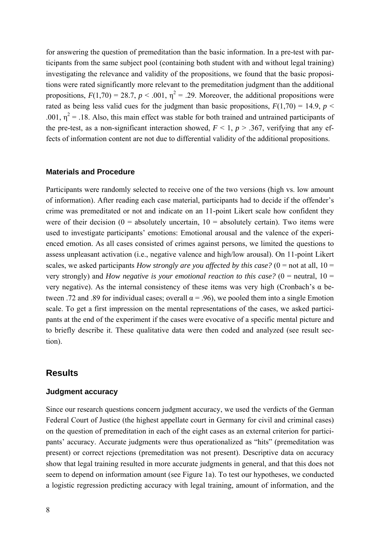for answering the question of premeditation than the basic information. In a pre-test with participants from the same subject pool (containing both student with and without legal training) investigating the relevance and validity of the propositions, we found that the basic propositions were rated significantly more relevant to the premeditation judgment than the additional propositions,  $F(1,70) = 28.7$ ,  $p < .001$ ,  $\eta^2 = .29$ . Moreover, the additional propositions were rated as being less valid cues for the judgment than basic propositions,  $F(1,70) = 14.9$ ,  $p \le$ .001,  $\eta^2$  = .18. Also, this main effect was stable for both trained and untrained participants of the pre-test, as a non-significant interaction showed,  $F < 1$ ,  $p > .367$ , verifying that any effects of information content are not due to differential validity of the additional propositions.

#### **Materials and Procedure**

Participants were randomly selected to receive one of the two versions (high vs. low amount of information). After reading each case material, participants had to decide if the offender's crime was premeditated or not and indicate on an 11-point Likert scale how confident they were of their decision  $(0 =$  absolutely uncertain,  $10 =$  absolutely certain). Two items were used to investigate participants' emotions: Emotional arousal and the valence of the experienced emotion. As all cases consisted of crimes against persons, we limited the questions to assess unpleasant activation (i.e., negative valence and high/low arousal). On 11-point Likert scales, we asked participants *How strongly are you affected by this case?* ( $0 =$  not at all,  $10 =$ very strongly) and *How negative is your emotional reaction to this case?* (0 = neutral, 10 = very negative). As the internal consistency of these items was very high (Cronbach's α between .72 and .89 for individual cases; overall  $\alpha$  = .96), we pooled them into a single Emotion scale. To get a first impression on the mental representations of the cases, we asked participants at the end of the experiment if the cases were evocative of a specific mental picture and to briefly describe it. These qualitative data were then coded and analyzed (see result section).

# **Results**

#### **Judgment accuracy**

Since our research questions concern judgment accuracy, we used the verdicts of the German Federal Court of Justice (the highest appellate court in Germany for civil and criminal cases) on the question of premeditation in each of the eight cases as an external criterion for participants' accuracy. Accurate judgments were thus operationalized as "hits" (premeditation was present) or correct rejections (premeditation was not present). Descriptive data on accuracy show that legal training resulted in more accurate judgments in general, and that this does not seem to depend on information amount (see Figure 1a). To test our hypotheses, we conducted a logistic regression predicting accuracy with legal training, amount of information, and the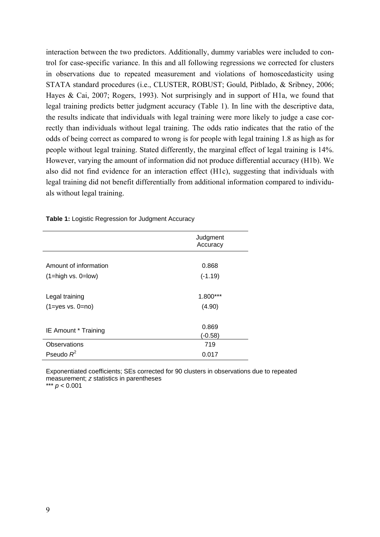interaction between the two predictors. Additionally, dummy variables were included to control for case-specific variance. In this and all following regressions we corrected for clusters in observations due to repeated measurement and violations of homoscedasticity using STATA standard procedures (i.e., CLUSTER, ROBUST; Gould, Pitblado, & Sribney, 2006; Hayes & Cai, 2007; Rogers, 1993). Not surprisingly and in support of H1a, we found that legal training predicts better judgment accuracy (Table 1). In line with the descriptive data, the results indicate that individuals with legal training were more likely to judge a case correctly than individuals without legal training. The odds ratio indicates that the ratio of the odds of being correct as compared to wrong is for people with legal training 1.8 as high as for people without legal training. Stated differently, the marginal effect of legal training is 14%. However, varying the amount of information did not produce differential accuracy (H1b). We also did not find evidence for an interaction effect (H1c), suggesting that individuals with legal training did not benefit differentially from additional information compared to individuals without legal training.

|                          | Judgment<br>Accuracy |
|--------------------------|----------------------|
|                          |                      |
| Amount of information    | 0.868                |
| $(1 = high vs. 0 = low)$ | $(-1.19)$            |
|                          |                      |
| Legal training           | 1.800***             |
| $(1 = yes vs. 0 = no)$   | (4.90)               |
|                          |                      |
| IE Amount * Training     | 0.869                |
|                          | (-0.58)              |
| Observations             | 719                  |
| Pseudo $R^2$             | 0.017                |

**Table 1:** Logistic Regression for Judgment Accuracy

Exponentiated coefficients; SEs corrected for 90 clusters in observations due to repeated measurement; *z* statistics in parentheses

\*\*\* *p* < 0.001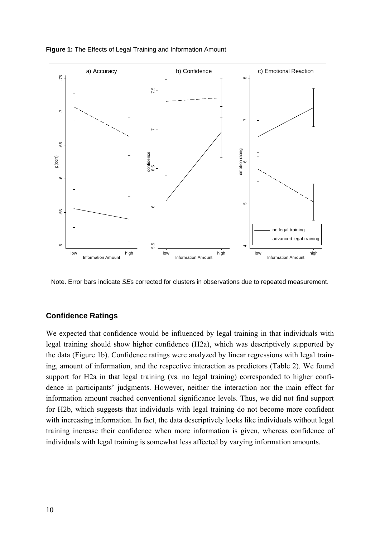

**Figure 1:** The Effects of Legal Training and Information Amount

Note. Error bars indicate *SE*s corrected for clusters in observations due to repeated measurement.

### **Confidence Ratings**

We expected that confidence would be influenced by legal training in that individuals with legal training should show higher confidence (H2a), which was descriptively supported by the data (Figure 1b). Confidence ratings were analyzed by linear regressions with legal training, amount of information, and the respective interaction as predictors (Table 2). We found support for H2a in that legal training (vs. no legal training) corresponded to higher confidence in participants' judgments. However, neither the interaction nor the main effect for information amount reached conventional significance levels. Thus, we did not find support for H2b, which suggests that individuals with legal training do not become more confident with increasing information. In fact, the data descriptively looks like individuals without legal training increase their confidence when more information is given, whereas confidence of individuals with legal training is somewhat less affected by varying information amounts.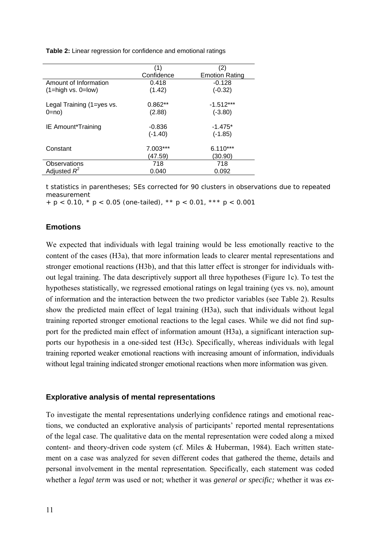**Table 2:** Linear regression for confidence and emotional ratings

|                           | (1)        | (2)                   |
|---------------------------|------------|-----------------------|
|                           | Confidence | <b>Emotion Rating</b> |
| Amount of Information     | 0.418      | $-0.128$              |
| $(1 = high vs. 0 = low)$  | (1.42)     | $(-0.32)$             |
| Legal Training (1=yes vs. | $0.862**$  | $-1.512***$           |
| $0 = no$                  | (2.88)     | $(-3.80)$             |
| IE Amount*Training        | $-0.836$   | $-1.475*$             |
|                           | $(-1.40)$  | $(-1.85)$             |
| Constant                  | $7.003***$ | $6.110***$            |
|                           | (47.59)    | (30.90)               |
| Observations              | 718        | 718                   |
| Adjusted $R^2$            | 0.040      | 0.092                 |

*t* statistics in parentheses; SEs corrected for 90 clusters in observations due to repeated measurement

+ *p* < 0.10, \* *p* < 0.05 (one-tailed), \*\* *p* < 0.01, \*\*\* *p* < 0.001

#### **Emotions**

We expected that individuals with legal training would be less emotionally reactive to the content of the cases (H3a), that more information leads to clearer mental representations and stronger emotional reactions (H3b), and that this latter effect is stronger for individuals without legal training. The data descriptively support all three hypotheses (Figure 1c). To test the hypotheses statistically, we regressed emotional ratings on legal training (yes vs. no), amount of information and the interaction between the two predictor variables (see Table 2). Results show the predicted main effect of legal training (H3a), such that individuals without legal training reported stronger emotional reactions to the legal cases. While we did not find support for the predicted main effect of information amount (H3a), a significant interaction supports our hypothesis in a one-sided test (H3c). Specifically, whereas individuals with legal training reported weaker emotional reactions with increasing amount of information, individuals without legal training indicated stronger emotional reactions when more information was given.

#### **Explorative analysis of mental representations**

To investigate the mental representations underlying confidence ratings and emotional reactions, we conducted an explorative analysis of participants' reported mental representations of the legal case. The qualitative data on the mental representation were coded along a mixed content- and theory-driven code system (cf. Miles & Huberman, 1984). Each written statement on a case was analyzed for seven different codes that gathered the theme, details and personal involvement in the mental representation. Specifically, each statement was coded whether a *legal term* was used or not; whether it was *general or specific;* whether it was *ex-*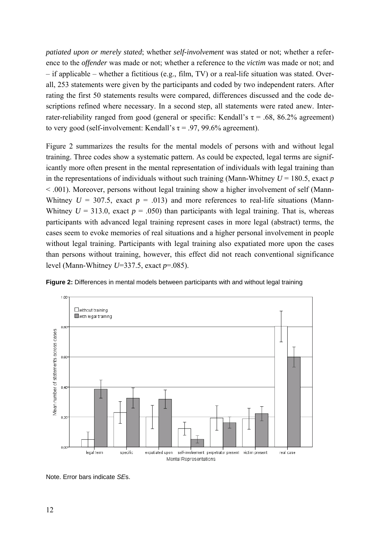*patiated upon or merely stated*; whether *self-involvement* was stated or not; whether a reference to the *offender* was made or not; whether a reference to the *victim* was made or not; and – if applicable – whether a fictitious (e.g., film, TV) or a real-life situation was stated. Overall, 253 statements were given by the participants and coded by two independent raters. After rating the first 50 statements results were compared, differences discussed and the code descriptions refined where necessary. In a second step, all statements were rated anew. Interrater-reliability ranged from good (general or specific: Kendall's  $\tau = .68, 86.2\%$  agreement) to very good (self-involvement: Kendall's τ = .97, 99.6% agreement).

Figure 2 summarizes the results for the mental models of persons with and without legal training. Three codes show a systematic pattern. As could be expected, legal terms are significantly more often present in the mental representation of individuals with legal training than in the representations of individuals without such training (Mann-Whitney  $U = 180.5$ , exact *p* < .001). Moreover, persons without legal training show a higher involvement of self (Mann-Whitney  $U = 307.5$ , exact  $p = .013$ ) and more references to real-life situations (Mann-Whitney  $U = 313.0$ , exact  $p = .050$ ) than participants with legal training. That is, whereas participants with advanced legal training represent cases in more legal (abstract) terms, the cases seem to evoke memories of real situations and a higher personal involvement in people without legal training. Participants with legal training also expatiated more upon the cases than persons without training, however, this effect did not reach conventional significance level (Mann-Whitney *U*=337.5, exact *p*=.085).





Note. Error bars indicate *SE*s.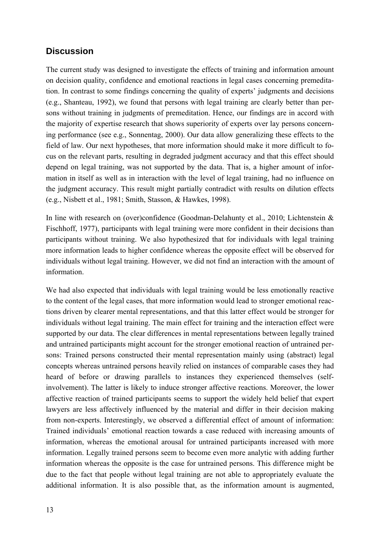# **Discussion**

The current study was designed to investigate the effects of training and information amount on decision quality, confidence and emotional reactions in legal cases concerning premeditation. In contrast to some findings concerning the quality of experts' judgments and decisions (e.g., Shanteau, 1992), we found that persons with legal training are clearly better than persons without training in judgments of premeditation. Hence, our findings are in accord with the majority of expertise research that shows superiority of experts over lay persons concerning performance (see e.g., Sonnentag, 2000). Our data allow generalizing these effects to the field of law. Our next hypotheses, that more information should make it more difficult to focus on the relevant parts, resulting in degraded judgment accuracy and that this effect should depend on legal training, was not supported by the data. That is, a higher amount of information in itself as well as in interaction with the level of legal training, had no influence on the judgment accuracy. This result might partially contradict with results on dilution effects (e.g., Nisbett et al., 1981; Smith, Stasson, & Hawkes, 1998).

In line with research on (over)confidence (Goodman-Delahunty et al., 2010; Lichtenstein & Fischhoff, 1977), participants with legal training were more confident in their decisions than participants without training. We also hypothesized that for individuals with legal training more information leads to higher confidence whereas the opposite effect will be observed for individuals without legal training. However, we did not find an interaction with the amount of information.

We had also expected that individuals with legal training would be less emotionally reactive to the content of the legal cases, that more information would lead to stronger emotional reactions driven by clearer mental representations, and that this latter effect would be stronger for individuals without legal training. The main effect for training and the interaction effect were supported by our data. The clear differences in mental representations between legally trained and untrained participants might account for the stronger emotional reaction of untrained persons: Trained persons constructed their mental representation mainly using (abstract) legal concepts whereas untrained persons heavily relied on instances of comparable cases they had heard of before or drawing parallels to instances they experienced themselves (selfinvolvement). The latter is likely to induce stronger affective reactions. Moreover, the lower affective reaction of trained participants seems to support the widely held belief that expert lawyers are less affectively influenced by the material and differ in their decision making from non-experts. Interestingly, we observed a differential effect of amount of information: Trained individuals' emotional reaction towards a case reduced with increasing amounts of information, whereas the emotional arousal for untrained participants increased with more information. Legally trained persons seem to become even more analytic with adding further information whereas the opposite is the case for untrained persons. This difference might be due to the fact that people without legal training are not able to appropriately evaluate the additional information. It is also possible that, as the information amount is augmented,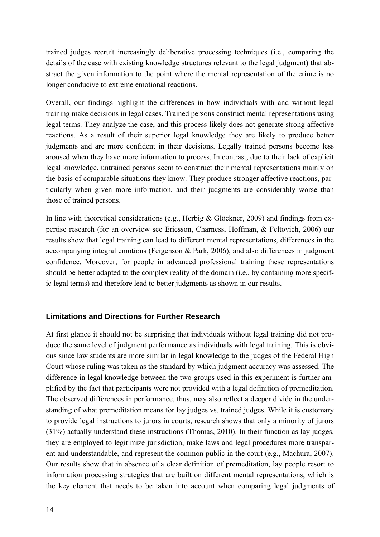trained judges recruit increasingly deliberative processing techniques (i.e., comparing the details of the case with existing knowledge structures relevant to the legal judgment) that abstract the given information to the point where the mental representation of the crime is no longer conducive to extreme emotional reactions.

Overall, our findings highlight the differences in how individuals with and without legal training make decisions in legal cases. Trained persons construct mental representations using legal terms. They analyze the case, and this process likely does not generate strong affective reactions. As a result of their superior legal knowledge they are likely to produce better judgments and are more confident in their decisions. Legally trained persons become less aroused when they have more information to process. In contrast, due to their lack of explicit legal knowledge, untrained persons seem to construct their mental representations mainly on the basis of comparable situations they know. They produce stronger affective reactions, particularly when given more information, and their judgments are considerably worse than those of trained persons.

In line with theoretical considerations (e.g., Herbig & Glöckner, 2009) and findings from expertise research (for an overview see Ericsson, Charness, Hoffman, & Feltovich, 2006) our results show that legal training can lead to different mental representations, differences in the accompanying integral emotions (Feigenson & Park, 2006), and also differences in judgment confidence. Moreover, for people in advanced professional training these representations should be better adapted to the complex reality of the domain (i.e., by containing more specific legal terms) and therefore lead to better judgments as shown in our results.

### **Limitations and Directions for Further Research**

At first glance it should not be surprising that individuals without legal training did not produce the same level of judgment performance as individuals with legal training. This is obvious since law students are more similar in legal knowledge to the judges of the Federal High Court whose ruling was taken as the standard by which judgment accuracy was assessed. The difference in legal knowledge between the two groups used in this experiment is further amplified by the fact that participants were not provided with a legal definition of premeditation. The observed differences in performance, thus, may also reflect a deeper divide in the understanding of what premeditation means for lay judges vs. trained judges. While it is customary to provide legal instructions to jurors in courts, research shows that only a minority of jurors (31%) actually understand these instructions (Thomas, 2010). In their function as lay judges, they are employed to legitimize jurisdiction, make laws and legal procedures more transparent and understandable, and represent the common public in the court (e.g., Machura, 2007). Our results show that in absence of a clear definition of premeditation, lay people resort to information processing strategies that are built on different mental representations, which is the key element that needs to be taken into account when comparing legal judgments of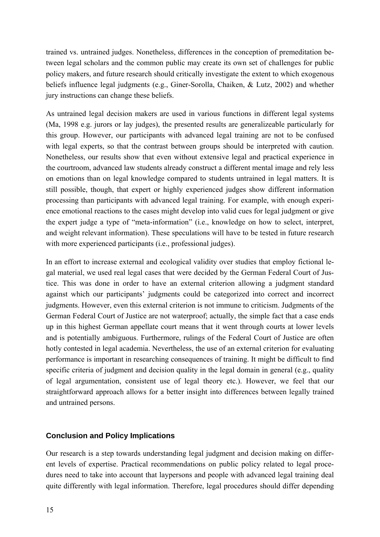trained vs. untrained judges. Nonetheless, differences in the conception of premeditation between legal scholars and the common public may create its own set of challenges for public policy makers, and future research should critically investigate the extent to which exogenous beliefs influence legal judgments (e.g., Giner-Sorolla, Chaiken, & Lutz, 2002) and whether jury instructions can change these beliefs.

As untrained legal decision makers are used in various functions in different legal systems (Ma, 1998 e.g. jurors or lay judges), the presented results are generalizeable particularly for this group. However, our participants with advanced legal training are not to be confused with legal experts, so that the contrast between groups should be interpreted with caution. Nonetheless, our results show that even without extensive legal and practical experience in the courtroom, advanced law students already construct a different mental image and rely less on emotions than on legal knowledge compared to students untrained in legal matters. It is still possible, though, that expert or highly experienced judges show different information processing than participants with advanced legal training. For example, with enough experience emotional reactions to the cases might develop into valid cues for legal judgment or give the expert judge a type of "meta-information" (i.e., knowledge on how to select, interpret, and weight relevant information). These speculations will have to be tested in future research with more experienced participants (i.e., professional judges).

In an effort to increase external and ecological validity over studies that employ fictional legal material, we used real legal cases that were decided by the German Federal Court of Justice. This was done in order to have an external criterion allowing a judgment standard against which our participants' judgments could be categorized into correct and incorrect judgments. However, even this external criterion is not immune to criticism. Judgments of the German Federal Court of Justice are not waterproof; actually, the simple fact that a case ends up in this highest German appellate court means that it went through courts at lower levels and is potentially ambiguous. Furthermore, rulings of the Federal Court of Justice are often hotly contested in legal academia. Nevertheless, the use of an external criterion for evaluating performance is important in researching consequences of training. It might be difficult to find specific criteria of judgment and decision quality in the legal domain in general (e.g., quality of legal argumentation, consistent use of legal theory etc.). However, we feel that our straightforward approach allows for a better insight into differences between legally trained and untrained persons.

# **Conclusion and Policy Implications**

Our research is a step towards understanding legal judgment and decision making on different levels of expertise. Practical recommendations on public policy related to legal procedures need to take into account that laypersons and people with advanced legal training deal quite differently with legal information. Therefore, legal procedures should differ depending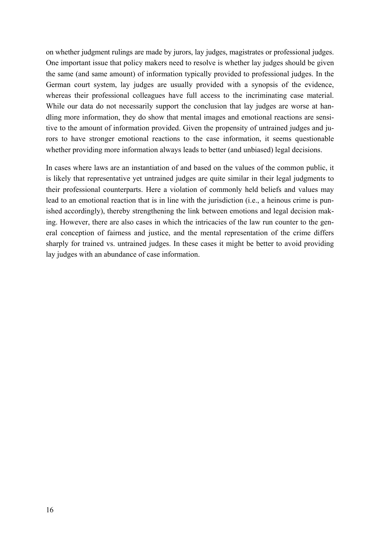on whether judgment rulings are made by jurors, lay judges, magistrates or professional judges. One important issue that policy makers need to resolve is whether lay judges should be given the same (and same amount) of information typically provided to professional judges. In the German court system, lay judges are usually provided with a synopsis of the evidence, whereas their professional colleagues have full access to the incriminating case material. While our data do not necessarily support the conclusion that lay judges are worse at handling more information, they do show that mental images and emotional reactions are sensitive to the amount of information provided. Given the propensity of untrained judges and jurors to have stronger emotional reactions to the case information, it seems questionable whether providing more information always leads to better (and unbiased) legal decisions.

In cases where laws are an instantiation of and based on the values of the common public, it is likely that representative yet untrained judges are quite similar in their legal judgments to their professional counterparts. Here a violation of commonly held beliefs and values may lead to an emotional reaction that is in line with the jurisdiction (i.e., a heinous crime is punished accordingly), thereby strengthening the link between emotions and legal decision making. However, there are also cases in which the intricacies of the law run counter to the general conception of fairness and justice, and the mental representation of the crime differs sharply for trained vs. untrained judges. In these cases it might be better to avoid providing lay judges with an abundance of case information.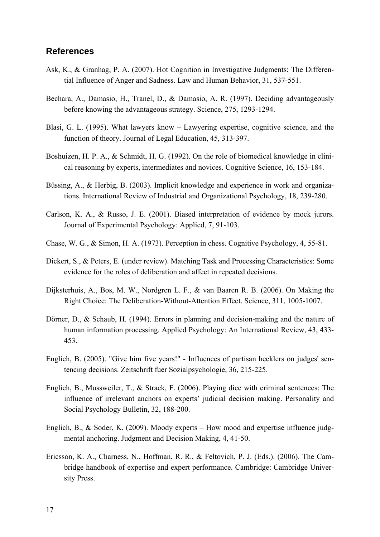# **References**

- Ask, K., & Granhag, P. A. (2007). Hot Cognition in Investigative Judgments: The Differential Influence of Anger and Sadness. Law and Human Behavior, 31, 537-551.
- Bechara, A., Damasio, H., Tranel, D., & Damasio, A. R. (1997). Deciding advantageously before knowing the advantageous strategy. Science, 275, 1293-1294.
- Blasi, G. L. (1995). What lawyers know Lawyering expertise, cognitive science, and the function of theory. Journal of Legal Education, 45, 313-397.
- Boshuizen, H. P. A., & Schmidt, H. G. (1992). On the role of biomedical knowledge in clinical reasoning by experts, intermediates and novices. Cognitive Science, 16, 153-184.
- Büssing, A., & Herbig, B. (2003). Implicit knowledge and experience in work and organizations. International Review of Industrial and Organizational Psychology, 18, 239-280.
- Carlson, K. A., & Russo, J. E. (2001). Biased interpretation of evidence by mock jurors. Journal of Experimental Psychology: Applied, 7, 91-103.
- Chase, W. G., & Simon, H. A. (1973). Perception in chess. Cognitive Psychology, 4, 55-81.
- Dickert, S., & Peters, E. (under review). Matching Task and Processing Characteristics: Some evidence for the roles of deliberation and affect in repeated decisions.
- Dijksterhuis, A., Bos, M. W., Nordgren L. F., & van Baaren R. B. (2006). On Making the Right Choice: The Deliberation-Without-Attention Effect. Science, 311, 1005-1007.
- Dörner, D., & Schaub, H. (1994). Errors in planning and decision-making and the nature of human information processing. Applied Psychology: An International Review, 43, 433- 453.
- Englich, B. (2005). "Give him five years!" Influences of partisan hecklers on judges' sentencing decisions. Zeitschrift fuer Sozialpsychologie, 36, 215-225.
- Englich, B., Mussweiler, T., & Strack, F. (2006). Playing dice with criminal sentences: The influence of irrelevant anchors on experts' judicial decision making. Personality and Social Psychology Bulletin, 32, 188-200.
- Englich, B., & Soder, K. (2009). Moody experts How mood and expertise influence judgmental anchoring. Judgment and Decision Making, 4, 41-50.
- Ericsson, K. A., Charness, N., Hoffman, R. R., & Feltovich, P. J. (Eds.). (2006). The Cambridge handbook of expertise and expert performance. Cambridge: Cambridge University Press.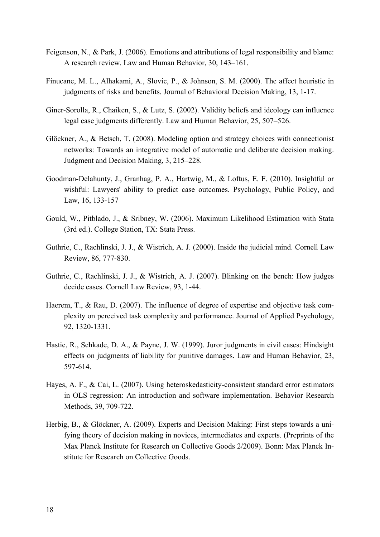- Feigenson, N., & Park, J. (2006). Emotions and attributions of legal responsibility and blame: A research review. Law and Human Behavior, 30, 143–161.
- Finucane, M. L., Alhakami, A., Slovic, P., & Johnson, S. M. (2000). The affect heuristic in judgments of risks and benefits. Journal of Behavioral Decision Making, 13, 1-17.
- Giner-Sorolla, R., Chaiken, S., & Lutz, S. (2002). Validity beliefs and ideology can influence legal case judgments differently. Law and Human Behavior, 25, 507–526.
- Glöckner, A., & Betsch, T. (2008). Modeling option and strategy choices with connectionist networks: Towards an integrative model of automatic and deliberate decision making. Judgment and Decision Making, 3, 215–228.
- Goodman-Delahunty, J., Granhag, P. A., Hartwig, M., & Loftus, E. F. (2010). Insightful or wishful: Lawyers' ability to predict case outcomes. Psychology, Public Policy, and Law, 16, 133-157
- Gould, W., Pitblado, J., & Sribney, W. (2006). Maximum Likelihood Estimation with Stata (3rd ed.). College Station, TX: Stata Press.
- Guthrie, C., Rachlinski, J. J., & Wistrich, A. J. (2000). Inside the judicial mind. Cornell Law Review, 86, 777-830.
- Guthrie, C., Rachlinski, J. J., & Wistrich, A. J. (2007). Blinking on the bench: How judges decide cases. Cornell Law Review, 93, 1-44.
- Haerem, T., & Rau, D. (2007). The influence of degree of expertise and objective task complexity on perceived task complexity and performance. Journal of Applied Psychology, 92, 1320-1331.
- Hastie, R., Schkade, D. A., & Payne, J. W. (1999). Juror judgments in civil cases: Hindsight effects on judgments of liability for punitive damages. Law and Human Behavior, 23, 597-614.
- Hayes, A. F., & Cai, L. (2007). Using heteroskedasticity-consistent standard error estimators in OLS regression: An introduction and software implementation. Behavior Research Methods, 39, 709-722.
- Herbig, B., & Glöckner, A. (2009). Experts and Decision Making: First steps towards a unifying theory of decision making in novices, intermediates and experts. (Preprints of the Max Planck Institute for Research on Collective Goods 2/2009). Bonn: Max Planck Institute for Research on Collective Goods.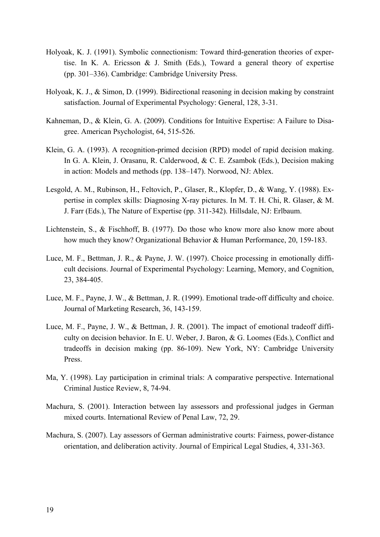- Holyoak, K. J. (1991). Symbolic connectionism: Toward third-generation theories of expertise. In K. A. Ericsson & J. Smith (Eds.), Toward a general theory of expertise (pp. 301–336). Cambridge: Cambridge University Press.
- Holyoak, K. J., & Simon, D. (1999). Bidirectional reasoning in decision making by constraint satisfaction. Journal of Experimental Psychology: General, 128, 3-31.
- Kahneman, D., & Klein, G. A. (2009). Conditions for Intuitive Expertise: A Failure to Disagree. American Psychologist, 64, 515-526.
- Klein, G. A. (1993). A recognition-primed decision (RPD) model of rapid decision making. In G. A. Klein, J. Orasanu, R. Calderwood, & C. E. Zsambok (Eds.), Decision making in action: Models and methods (pp. 138–147). Norwood, NJ: Ablex.
- Lesgold, A. M., Rubinson, H., Feltovich, P., Glaser, R., Klopfer, D., & Wang, Y. (1988). Expertise in complex skills: Diagnosing X-ray pictures. In M. T. H. Chi, R. Glaser, & M. J. Farr (Eds.), The Nature of Expertise (pp. 311-342). Hillsdale, NJ: Erlbaum.
- Lichtenstein, S., & Fischhoff, B. (1977). Do those who know more also know more about how much they know? Organizational Behavior & Human Performance, 20, 159-183.
- Luce, M. F., Bettman, J. R., & Payne, J. W. (1997). Choice processing in emotionally difficult decisions. Journal of Experimental Psychology: Learning, Memory, and Cognition, 23, 384-405.
- Luce, M. F., Payne, J. W., & Bettman, J. R. (1999). Emotional trade-off difficulty and choice. Journal of Marketing Research, 36, 143-159.
- Luce, M. F., Payne, J. W., & Bettman, J. R. (2001). The impact of emotional tradeoff difficulty on decision behavior. In E. U. Weber, J. Baron, & G. Loomes (Eds.), Conflict and tradeoffs in decision making (pp. 86-109). New York, NY: Cambridge University Press.
- Ma, Y. (1998). Lay participation in criminal trials: A comparative perspective. International Criminal Justice Review, 8, 74-94.
- Machura, S. (2001). Interaction between lay assessors and professional judges in German mixed courts. International Review of Penal Law, 72, 29.
- Machura, S. (2007). Lay assessors of German administrative courts: Fairness, power-distance orientation, and deliberation activity. Journal of Empirical Legal Studies, 4, 331-363.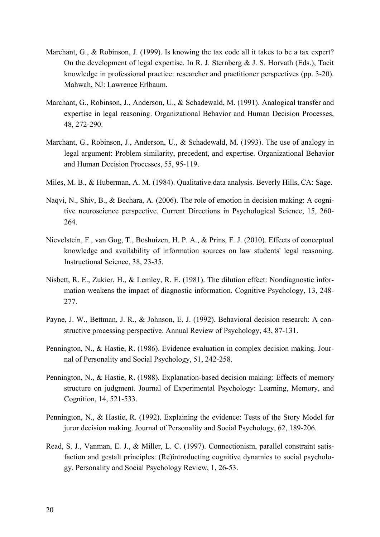- Marchant, G., & Robinson, J. (1999). Is knowing the tax code all it takes to be a tax expert? On the development of legal expertise. In R. J. Sternberg & J. S. Horvath (Eds.), Tacit knowledge in professional practice: researcher and practitioner perspectives (pp. 3-20). Mahwah, NJ: Lawrence Erlbaum.
- Marchant, G., Robinson, J., Anderson, U., & Schadewald, M. (1991). Analogical transfer and expertise in legal reasoning. Organizational Behavior and Human Decision Processes, 48, 272-290.
- Marchant, G., Robinson, J., Anderson, U., & Schadewald, M. (1993). The use of analogy in legal argument: Problem similarity, precedent, and expertise. Organizational Behavior and Human Decision Processes, 55, 95-119.
- Miles, M. B., & Huberman, A. M. (1984). Qualitative data analysis. Beverly Hills, CA: Sage.
- Naqvi, N., Shiv, B., & Bechara, A. (2006). The role of emotion in decision making: A cognitive neuroscience perspective. Current Directions in Psychological Science, 15, 260- 264.
- Nievelstein, F., van Gog, T., Boshuizen, H. P. A., & Prins, F. J. (2010). Effects of conceptual knowledge and availability of information sources on law students' legal reasoning. Instructional Science, 38, 23-35.
- Nisbett, R. E., Zukier, H., & Lemley, R. E. (1981). The dilution effect: Nondiagnostic information weakens the impact of diagnostic information. Cognitive Psychology, 13, 248- 277.
- Payne, J. W., Bettman, J. R., & Johnson, E. J. (1992). Behavioral decision research: A constructive processing perspective. Annual Review of Psychology, 43, 87-131.
- Pennington, N., & Hastie, R. (1986). Evidence evaluation in complex decision making. Journal of Personality and Social Psychology, 51, 242-258.
- Pennington, N., & Hastie, R. (1988). Explanation-based decision making: Effects of memory structure on judgment. Journal of Experimental Psychology: Learning, Memory, and Cognition, 14, 521-533.
- Pennington, N., & Hastie, R. (1992). Explaining the evidence: Tests of the Story Model for juror decision making. Journal of Personality and Social Psychology, 62, 189-206.
- Read, S. J., Vanman, E. J., & Miller, L. C. (1997). Connectionism, parallel constraint satisfaction and gestalt principles: (Re)introducting cognitive dynamics to social psychology. Personality and Social Psychology Review, 1, 26-53.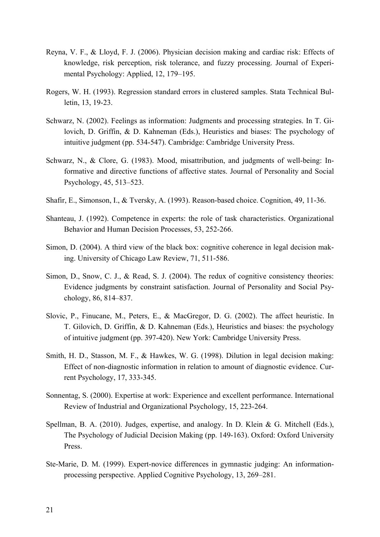- Reyna, V. F., & Lloyd, F. J. (2006). Physician decision making and cardiac risk: Effects of knowledge, risk perception, risk tolerance, and fuzzy processing. Journal of Experimental Psychology: Applied, 12, 179–195.
- Rogers, W. H. (1993). Regression standard errors in clustered samples. Stata Technical Bulletin, 13, 19-23.
- Schwarz, N. (2002). Feelings as information: Judgments and processing strategies. In T. Gilovich, D. Griffin, & D. Kahneman (Eds.), Heuristics and biases: The psychology of intuitive judgment (pp. 534-547). Cambridge: Cambridge University Press.
- Schwarz, N., & Clore, G. (1983). Mood, misattribution, and judgments of well-being: Informative and directive functions of affective states. Journal of Personality and Social Psychology, 45, 513–523.
- Shafir, E., Simonson, I., & Tversky, A. (1993). Reason-based choice. Cognition, 49, 11-36.
- Shanteau, J. (1992). Competence in experts: the role of task characteristics. Organizational Behavior and Human Decision Processes, 53, 252-266.
- Simon, D. (2004). A third view of the black box: cognitive coherence in legal decision making. University of Chicago Law Review, 71, 511-586.
- Simon, D., Snow, C. J., & Read, S. J. (2004). The redux of cognitive consistency theories: Evidence judgments by constraint satisfaction. Journal of Personality and Social Psychology, 86, 814–837.
- Slovic, P., Finucane, M., Peters, E., & MacGregor, D. G. (2002). The affect heuristic. In T. Gilovich, D. Griffin, & D. Kahneman (Eds.), Heuristics and biases: the psychology of intuitive judgment (pp. 397-420). New York: Cambridge University Press.
- Smith, H. D., Stasson, M. F., & Hawkes, W. G. (1998). Dilution in legal decision making: Effect of non-diagnostic information in relation to amount of diagnostic evidence. Current Psychology, 17, 333-345.
- Sonnentag, S. (2000). Expertise at work: Experience and excellent performance. International Review of Industrial and Organizational Psychology, 15, 223-264.
- Spellman, B. A. (2010). Judges, expertise, and analogy. In D. Klein & G. Mitchell (Eds.), The Psychology of Judicial Decision Making (pp. 149-163). Oxford: Oxford University Press.
- Ste-Marie, D. M. (1999). Expert-novice differences in gymnastic judging: An informationprocessing perspective. Applied Cognitive Psychology, 13, 269–281.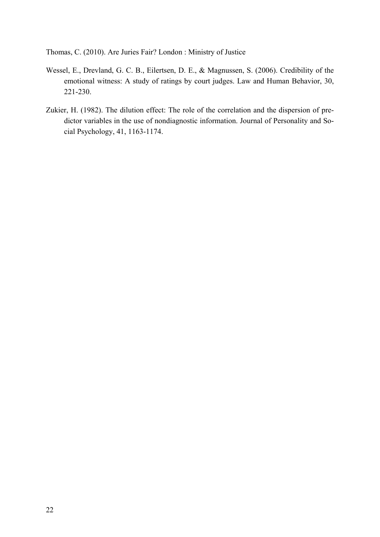Thomas, C. (2010). Are Juries Fair? London : Ministry of Justice

- Wessel, E., Drevland, G. C. B., Eilertsen, D. E., & Magnussen, S. (2006). Credibility of the emotional witness: A study of ratings by court judges. Law and Human Behavior, 30, 221-230.
- Zukier, H. (1982). The dilution effect: The role of the correlation and the dispersion of predictor variables in the use of nondiagnostic information. Journal of Personality and Social Psychology, 41, 1163-1174.